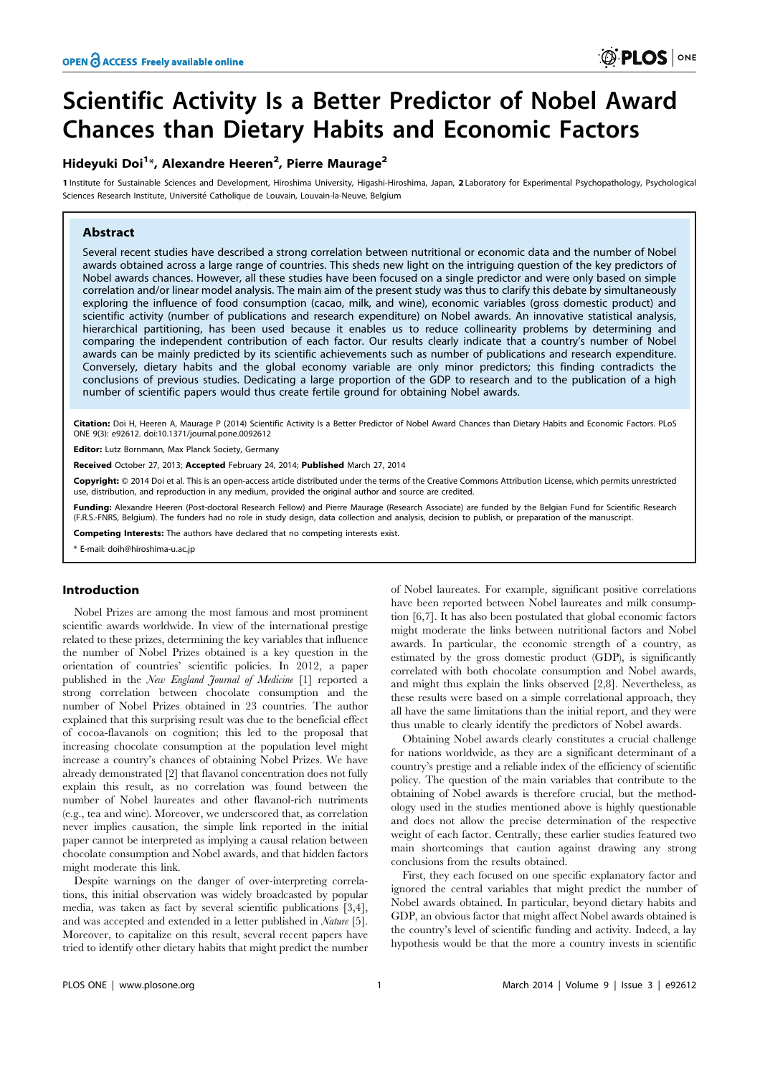# Scientific Activity Is a Better Predictor of Nobel Award Chances than Dietary Habits and Economic Factors

# Hideyuki Doi<sup>1\*</sup>, Alexandre Heeren<sup>2</sup>, Pierre Maurage<sup>2</sup>

1 Institute for Sustainable Sciences and Development, Hiroshima University, Higashi-Hiroshima, Japan, 2 Laboratory for Experimental Psychopathology, Psychological Sciences Research Institute, Université Catholique de Louvain, Louvain-la-Neuve, Belgium

# Abstract

Several recent studies have described a strong correlation between nutritional or economic data and the number of Nobel awards obtained across a large range of countries. This sheds new light on the intriguing question of the key predictors of Nobel awards chances. However, all these studies have been focused on a single predictor and were only based on simple correlation and/or linear model analysis. The main aim of the present study was thus to clarify this debate by simultaneously exploring the influence of food consumption (cacao, milk, and wine), economic variables (gross domestic product) and scientific activity (number of publications and research expenditure) on Nobel awards. An innovative statistical analysis, hierarchical partitioning, has been used because it enables us to reduce collinearity problems by determining and comparing the independent contribution of each factor. Our results clearly indicate that a country's number of Nobel awards can be mainly predicted by its scientific achievements such as number of publications and research expenditure. Conversely, dietary habits and the global economy variable are only minor predictors; this finding contradicts the conclusions of previous studies. Dedicating a large proportion of the GDP to research and to the publication of a high number of scientific papers would thus create fertile ground for obtaining Nobel awards.

Citation: Doi H, Heeren A, Maurage P (2014) Scientific Activity Is a Better Predictor of Nobel Award Chances than Dietary Habits and Economic Factors. PLoS ONE 9(3): e92612. doi:10.1371/journal.pone.0092612

Editor: Lutz Bornmann, Max Planck Society, Germany

eceived October 27, 2013; Accepted February 24, 2014; Published March 27, 2014

Copyright: © 2014 Doi et al. This is an open-access article distributed under the terms of the [Creative Commons Attribution License,](http://creativecommons.org/licenses/by/4.0/) which permits unrestricted use, distribution, and reproduction in any medium, provided the original author and source are credited.

Funding: Alexandre Heeren (Post-doctoral Research Fellow) and Pierre Maurage (Research Associate) are funded by the Belgian Fund for Scientific Research (F.R.S.-FNRS, Belgium). The funders had no role in study design, data collection and analysis, decision to publish, or preparation of the manuscript.

Competing Interests: The authors have declared that no competing interests exist.

\* E-mail: doih@hiroshima-u.ac.jp

# Introduction

Nobel Prizes are among the most famous and most prominent scientific awards worldwide. In view of the international prestige related to these prizes, determining the key variables that influence the number of Nobel Prizes obtained is a key question in the orientation of countries' scientific policies. In 2012, a paper published in the New England Journal of Medicine [1] reported a strong correlation between chocolate consumption and the number of Nobel Prizes obtained in 23 countries. The author explained that this surprising result was due to the beneficial effect of cocoa-flavanols on cognition; this led to the proposal that increasing chocolate consumption at the population level might increase a country's chances of obtaining Nobel Prizes. We have already demonstrated [2] that flavanol concentration does not fully explain this result, as no correlation was found between the number of Nobel laureates and other flavanol-rich nutriments (e.g., tea and wine). Moreover, we underscored that, as correlation never implies causation, the simple link reported in the initial paper cannot be interpreted as implying a causal relation between chocolate consumption and Nobel awards, and that hidden factors might moderate this link.

Despite warnings on the danger of over-interpreting correlations, this initial observation was widely broadcasted by popular media, was taken as fact by several scientific publications [3,4], and was accepted and extended in a letter published in Nature [5]. Moreover, to capitalize on this result, several recent papers have tried to identify other dietary habits that might predict the number

of Nobel laureates. For example, significant positive correlations have been reported between Nobel laureates and milk consumption [6,7]. It has also been postulated that global economic factors might moderate the links between nutritional factors and Nobel awards. In particular, the economic strength of a country, as estimated by the gross domestic product (GDP), is significantly correlated with both chocolate consumption and Nobel awards, and might thus explain the links observed [2,8]. Nevertheless, as these results were based on a simple correlational approach, they all have the same limitations than the initial report, and they were thus unable to clearly identify the predictors of Nobel awards.

Obtaining Nobel awards clearly constitutes a crucial challenge for nations worldwide, as they are a significant determinant of a country's prestige and a reliable index of the efficiency of scientific policy. The question of the main variables that contribute to the obtaining of Nobel awards is therefore crucial, but the methodology used in the studies mentioned above is highly questionable and does not allow the precise determination of the respective weight of each factor. Centrally, these earlier studies featured two main shortcomings that caution against drawing any strong conclusions from the results obtained.

First, they each focused on one specific explanatory factor and ignored the central variables that might predict the number of Nobel awards obtained. In particular, beyond dietary habits and GDP, an obvious factor that might affect Nobel awards obtained is the country's level of scientific funding and activity. Indeed, a lay hypothesis would be that the more a country invests in scientific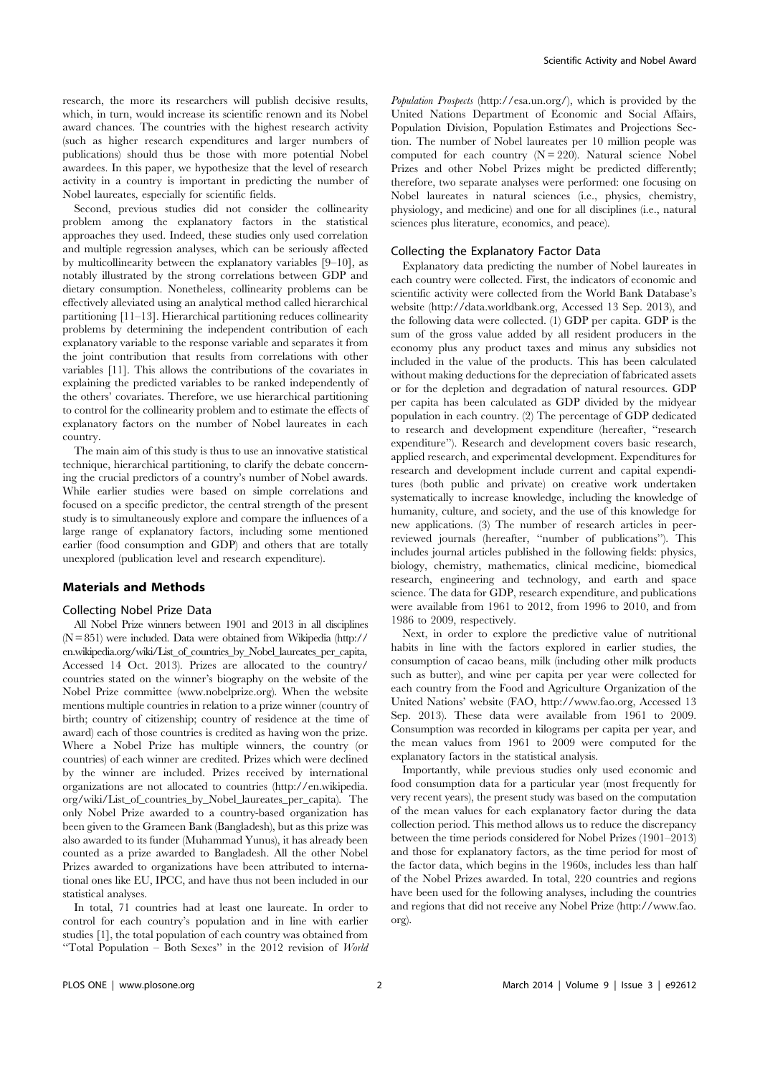research, the more its researchers will publish decisive results, which, in turn, would increase its scientific renown and its Nobel award chances. The countries with the highest research activity (such as higher research expenditures and larger numbers of publications) should thus be those with more potential Nobel awardees. In this paper, we hypothesize that the level of research activity in a country is important in predicting the number of Nobel laureates, especially for scientific fields.

Second, previous studies did not consider the collinearity problem among the explanatory factors in the statistical approaches they used. Indeed, these studies only used correlation and multiple regression analyses, which can be seriously affected by multicollinearity between the explanatory variables [9–10], as notably illustrated by the strong correlations between GDP and dietary consumption. Nonetheless, collinearity problems can be effectively alleviated using an analytical method called hierarchical partitioning [11–13]. Hierarchical partitioning reduces collinearity problems by determining the independent contribution of each explanatory variable to the response variable and separates it from the joint contribution that results from correlations with other variables [11]. This allows the contributions of the covariates in explaining the predicted variables to be ranked independently of the others' covariates. Therefore, we use hierarchical partitioning to control for the collinearity problem and to estimate the effects of explanatory factors on the number of Nobel laureates in each country.

The main aim of this study is thus to use an innovative statistical technique, hierarchical partitioning, to clarify the debate concerning the crucial predictors of a country's number of Nobel awards. While earlier studies were based on simple correlations and focused on a specific predictor, the central strength of the present study is to simultaneously explore and compare the influences of a large range of explanatory factors, including some mentioned earlier (food consumption and GDP) and others that are totally unexplored (publication level and research expenditure).

# Materials and Methods

# Collecting Nobel Prize Data

All Nobel Prize winners between 1901 and 2013 in all disciplines (N= 851) were included. Data were obtained from Wikipedia [\(http://](http://en.wikipedia.org/wiki/List_of_countries_by_Nobel_laureates_per_capita) [en.wikipedia.org/wiki/List\\_of\\_countries\\_by\\_Nobel\\_laureates\\_per\\_capita](http://en.wikipedia.org/wiki/List_of_countries_by_Nobel_laureates_per_capita), Accessed 14 Oct. 2013). Prizes are allocated to the country/ countries stated on the winner's biography on the website of the Nobel Prize committee ([www.nobelprize.org\)](www.nobelprize.org). When the website mentions multiple countries in relation to a prize winner (country of birth; country of citizenship; country of residence at the time of award) each of those countries is credited as having won the prize. Where a Nobel Prize has multiple winners, the country (or countries) of each winner are credited. Prizes which were declined by the winner are included. Prizes received by international organizations are not allocated to countries [\(http://en.wikipedia.](http://en.wikipedia.org/wiki/List_of_countries_by_Nobel_laureates_per_capita) [org/wiki/List\\_of\\_countries\\_by\\_Nobel\\_laureates\\_per\\_capita](http://en.wikipedia.org/wiki/List_of_countries_by_Nobel_laureates_per_capita)). The only Nobel Prize awarded to a country-based organization has been given to the Grameen Bank (Bangladesh), but as this prize was also awarded to its funder (Muhammad Yunus), it has already been counted as a prize awarded to Bangladesh. All the other Nobel Prizes awarded to organizations have been attributed to international ones like EU, IPCC, and have thus not been included in our statistical analyses.

In total, 71 countries had at least one laureate. In order to control for each country's population and in line with earlier studies [1], the total population of each country was obtained from ''Total Population – Both Sexes'' in the 2012 revision of World Population Prospects [\(http://esa.un.org/\)](http://esa.un.org/), which is provided by the United Nations Department of Economic and Social Affairs, Population Division, Population Estimates and Projections Section. The number of Nobel laureates per 10 million people was computed for each country  $(N = 220)$ . Natural science Nobel Prizes and other Nobel Prizes might be predicted differently; therefore, two separate analyses were performed: one focusing on Nobel laureates in natural sciences (i.e., physics, chemistry, physiology, and medicine) and one for all disciplines (i.e., natural sciences plus literature, economics, and peace).

# Collecting the Explanatory Factor Data

Explanatory data predicting the number of Nobel laureates in each country were collected. First, the indicators of economic and scientific activity were collected from the World Bank Database's website ([http://data.worldbank.org,](http://data.worldbank.org) Accessed 13 Sep. 2013), and the following data were collected. (1) GDP per capita. GDP is the sum of the gross value added by all resident producers in the economy plus any product taxes and minus any subsidies not included in the value of the products. This has been calculated without making deductions for the depreciation of fabricated assets or for the depletion and degradation of natural resources. GDP per capita has been calculated as GDP divided by the midyear population in each country. (2) The percentage of GDP dedicated to research and development expenditure (hereafter, ''research expenditure''). Research and development covers basic research, applied research, and experimental development. Expenditures for research and development include current and capital expenditures (both public and private) on creative work undertaken systematically to increase knowledge, including the knowledge of humanity, culture, and society, and the use of this knowledge for new applications. (3) The number of research articles in peerreviewed journals (hereafter, ''number of publications''). This includes journal articles published in the following fields: physics, biology, chemistry, mathematics, clinical medicine, biomedical research, engineering and technology, and earth and space science. The data for GDP, research expenditure, and publications were available from 1961 to 2012, from 1996 to 2010, and from 1986 to 2009, respectively.

Next, in order to explore the predictive value of nutritional habits in line with the factors explored in earlier studies, the consumption of cacao beans, milk (including other milk products such as butter), and wine per capita per year were collected for each country from the Food and Agriculture Organization of the United Nations' website (FAO,<http://www.fao.org>, Accessed 13 Sep. 2013). These data were available from 1961 to 2009. Consumption was recorded in kilograms per capita per year, and the mean values from 1961 to 2009 were computed for the explanatory factors in the statistical analysis.

Importantly, while previous studies only used economic and food consumption data for a particular year (most frequently for very recent years), the present study was based on the computation of the mean values for each explanatory factor during the data collection period. This method allows us to reduce the discrepancy between the time periods considered for Nobel Prizes (1901–2013) and those for explanatory factors, as the time period for most of the factor data, which begins in the 1960s, includes less than half of the Nobel Prizes awarded. In total, 220 countries and regions have been used for the following analyses, including the countries and regions that did not receive any Nobel Prize [\(http://www.fao.](http://www.fao.org) [org](http://www.fao.org)).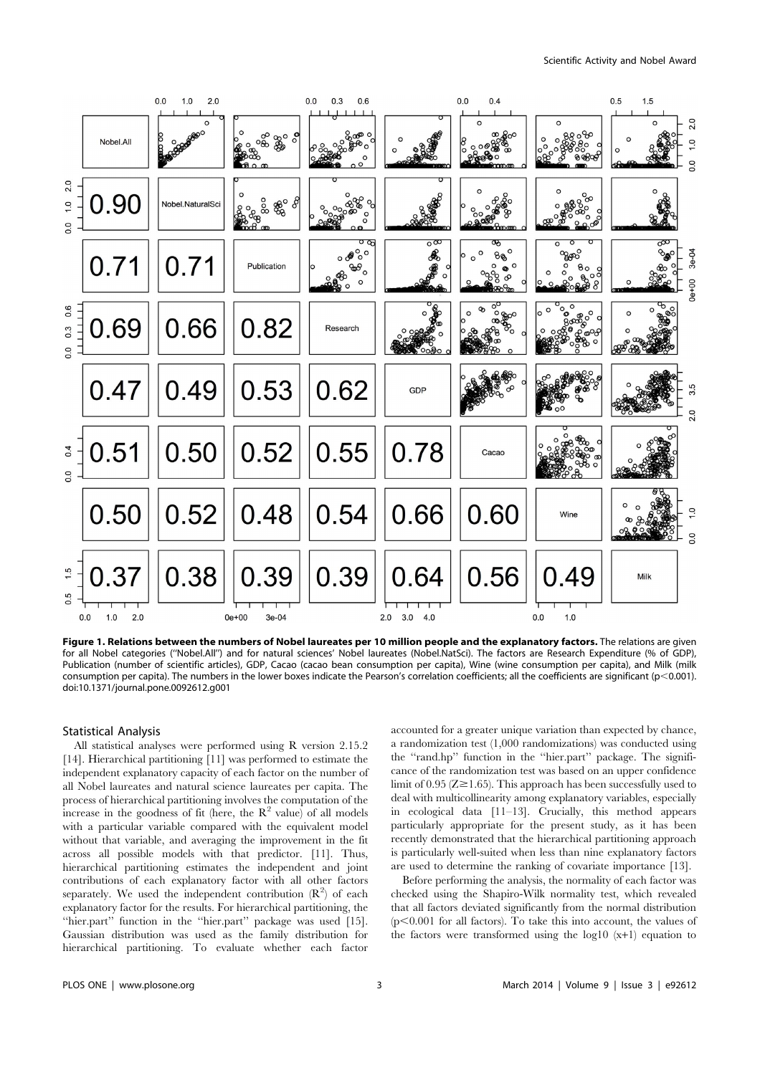

Figure 1. Relations between the numbers of Nobel laureates per 10 million people and the explanatory factors. The relations are given for all Nobel categories (''Nobel.All'') and for natural sciences' Nobel laureates (Nobel.NatSci). The factors are Research Expenditure (% of GDP), Publication (number of scientific articles), GDP, Cacao (cacao bean consumption per capita), Wine (wine consumption per capita), and Milk (milk consumption per capita). The numbers in the lower boxes indicate the Pearson's correlation coefficients; all the coefficients are significant (p<0.001). doi:10.1371/journal.pone.0092612.g001

# Statistical Analysis

All statistical analyses were performed using R version 2.15.2 [14]. Hierarchical partitioning [11] was performed to estimate the independent explanatory capacity of each factor on the number of all Nobel laureates and natural science laureates per capita. The process of hierarchical partitioning involves the computation of the increase in the goodness of fit (here, the  $\mathbb{R}^2$  value) of all models with a particular variable compared with the equivalent model without that variable, and averaging the improvement in the fit across all possible models with that predictor. [11]. Thus, hierarchical partitioning estimates the independent and joint contributions of each explanatory factor with all other factors separately. We used the independent contribution  $(R^2)$  of each explanatory factor for the results. For hierarchical partitioning, the "hier.part" function in the "hier.part" package was used [15]. Gaussian distribution was used as the family distribution for hierarchical partitioning. To evaluate whether each factor

accounted for a greater unique variation than expected by chance, a randomization test (1,000 randomizations) was conducted using the ''rand.hp'' function in the ''hier.part'' package. The significance of the randomization test was based on an upper confidence limit of 0.95 ( $Z \ge 1.65$ ). This approach has been successfully used to deal with multicollinearity among explanatory variables, especially in ecological data [11–13]. Crucially, this method appears particularly appropriate for the present study, as it has been recently demonstrated that the hierarchical partitioning approach is particularly well-suited when less than nine explanatory factors are used to determine the ranking of covariate importance [13].

Before performing the analysis, the normality of each factor was checked using the Shapiro-Wilk normality test, which revealed that all factors deviated significantly from the normal distribution  $(p<0.001$  for all factors). To take this into account, the values of the factors were transformed using the log10 (x+1) equation to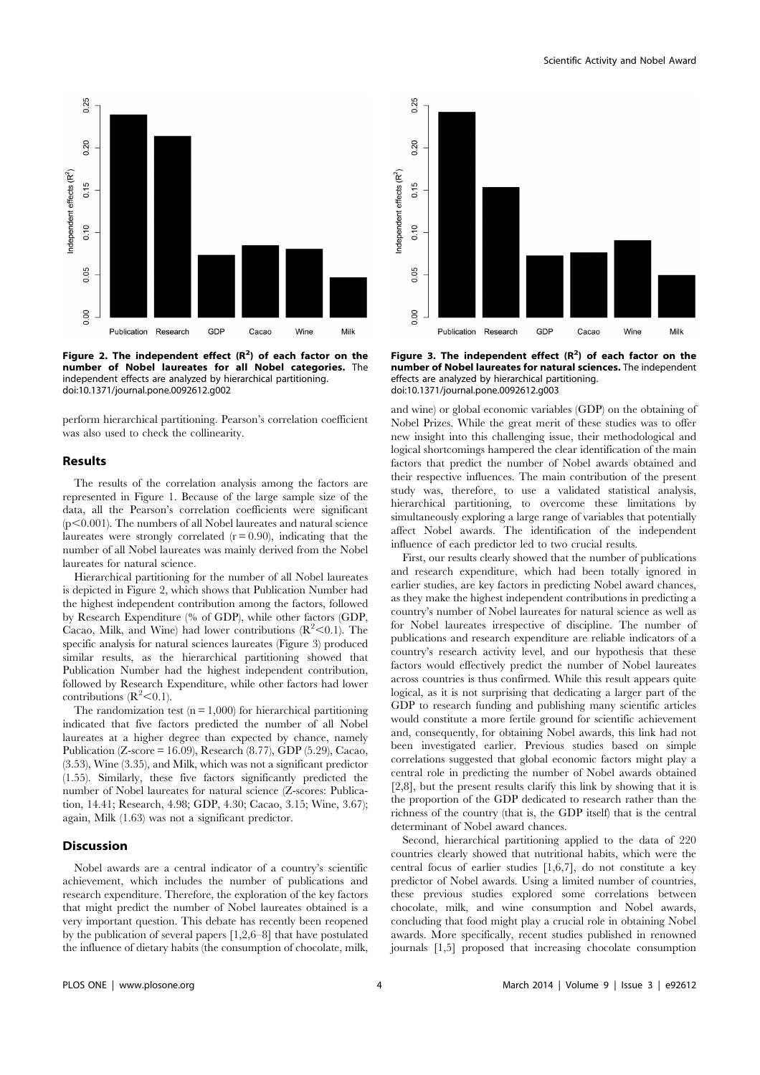

Figure 2. The independent effect  $(R^2)$  of each factor on the number of Nobel laureates for all Nobel categories. The independent effects are analyzed by hierarchical partitioning. doi:10.1371/journal.pone.0092612.g002

perform hierarchical partitioning. Pearson's correlation coefficient was also used to check the collinearity.

#### Results

The results of the correlation analysis among the factors are represented in Figure 1. Because of the large sample size of the data, all the Pearson's correlation coefficients were significant  $(p<0.001)$ . The numbers of all Nobel laureates and natural science laureates were strongly correlated  $(r = 0.90)$ , indicating that the number of all Nobel laureates was mainly derived from the Nobel laureates for natural science.

Hierarchical partitioning for the number of all Nobel laureates is depicted in Figure 2, which shows that Publication Number had the highest independent contribution among the factors, followed by Research Expenditure (% of GDP), while other factors (GDP, Cacao, Milk, and Wine) had lower contributions  $(R^2<0.1)$ . The specific analysis for natural sciences laureates (Figure 3) produced similar results, as the hierarchical partitioning showed that Publication Number had the highest independent contribution, followed by Research Expenditure, while other factors had lower contributions  $(R^2<0.1)$ .

The randomization test  $(n = 1,000)$  for hierarchical partitioning indicated that five factors predicted the number of all Nobel laureates at a higher degree than expected by chance, namely Publication (Z-score = 16.09), Research (8.77), GDP (5.29), Cacao, (3.53), Wine (3.35), and Milk, which was not a significant predictor (1.55). Similarly, these five factors significantly predicted the number of Nobel laureates for natural science (Z-scores: Publication, 14.41; Research, 4.98; GDP, 4.30; Cacao, 3.15; Wine, 3.67); again, Milk (1.63) was not a significant predictor.

### Discussion

Nobel awards are a central indicator of a country's scientific achievement, which includes the number of publications and research expenditure. Therefore, the exploration of the key factors that might predict the number of Nobel laureates obtained is a very important question. This debate has recently been reopened by the publication of several papers [1,2,6–8] that have postulated the influence of dietary habits (the consumption of chocolate, milk,



Figure 3. The independent effect  $(R^2)$  of each factor on the number of Nobel laureates for natural sciences. The independent effects are analyzed by hierarchical partitioning. doi:10.1371/journal.pone.0092612.g003

and wine) or global economic variables (GDP) on the obtaining of Nobel Prizes. While the great merit of these studies was to offer new insight into this challenging issue, their methodological and logical shortcomings hampered the clear identification of the main factors that predict the number of Nobel awards obtained and their respective influences. The main contribution of the present study was, therefore, to use a validated statistical analysis, hierarchical partitioning, to overcome these limitations by simultaneously exploring a large range of variables that potentially affect Nobel awards. The identification of the independent influence of each predictor led to two crucial results.

First, our results clearly showed that the number of publications and research expenditure, which had been totally ignored in earlier studies, are key factors in predicting Nobel award chances, as they make the highest independent contributions in predicting a country's number of Nobel laureates for natural science as well as for Nobel laureates irrespective of discipline. The number of publications and research expenditure are reliable indicators of a country's research activity level, and our hypothesis that these factors would effectively predict the number of Nobel laureates across countries is thus confirmed. While this result appears quite logical, as it is not surprising that dedicating a larger part of the GDP to research funding and publishing many scientific articles would constitute a more fertile ground for scientific achievement and, consequently, for obtaining Nobel awards, this link had not been investigated earlier. Previous studies based on simple correlations suggested that global economic factors might play a central role in predicting the number of Nobel awards obtained [2,8], but the present results clarify this link by showing that it is the proportion of the GDP dedicated to research rather than the richness of the country (that is, the GDP itself) that is the central determinant of Nobel award chances.

Second, hierarchical partitioning applied to the data of 220 countries clearly showed that nutritional habits, which were the central focus of earlier studies [1,6,7], do not constitute a key predictor of Nobel awards. Using a limited number of countries, these previous studies explored some correlations between chocolate, milk, and wine consumption and Nobel awards, concluding that food might play a crucial role in obtaining Nobel awards. More specifically, recent studies published in renowned journals [1,5] proposed that increasing chocolate consumption